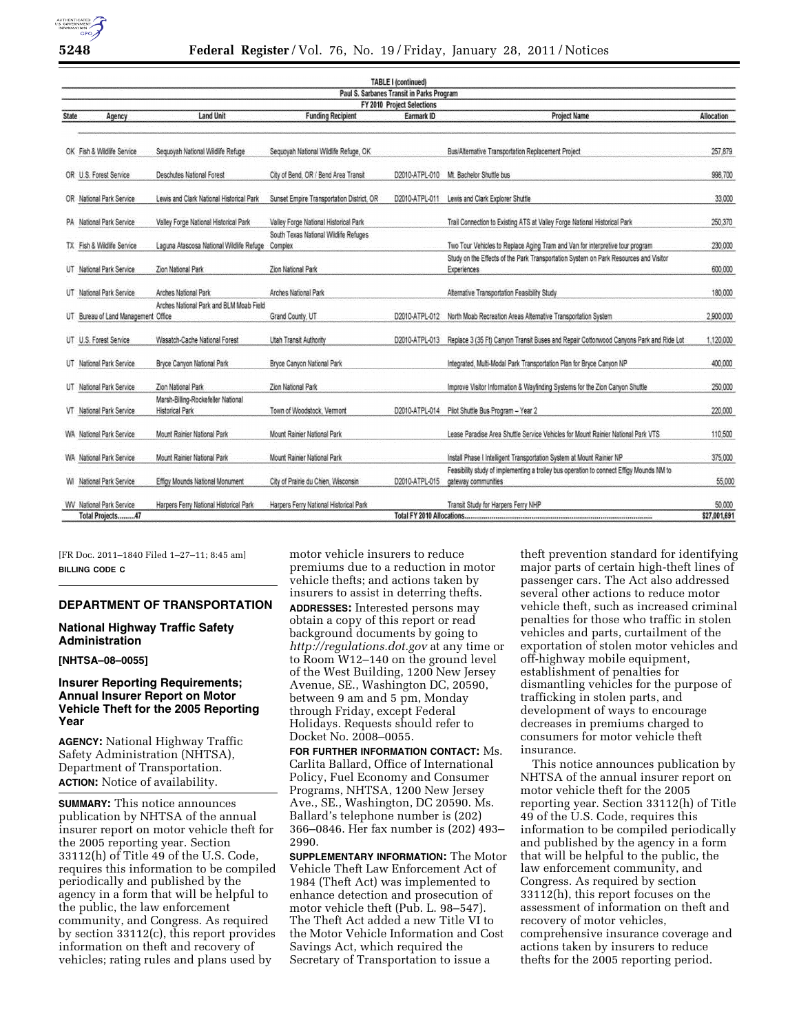

| <b>TABLE I (continued)</b><br>Paul S. Sarbanes Transit in Parks Program |                                                       |                                                                                |                                                                                           |                                                                                        |                                                                                                                                                                                  |
|-------------------------------------------------------------------------|-------------------------------------------------------|--------------------------------------------------------------------------------|-------------------------------------------------------------------------------------------|----------------------------------------------------------------------------------------|----------------------------------------------------------------------------------------------------------------------------------------------------------------------------------|
|                                                                         |                                                       |                                                                                |                                                                                           |                                                                                        |                                                                                                                                                                                  |
| OK Fish & Wildlife Service                                              | Seguoyah National Wildlife Refuge                     | Sequoyah National Wildlife Refuge, OK                                          |                                                                                           | Bus/Alternative Transportation Replacement Project                                     | 257,879                                                                                                                                                                          |
| OR U.S. Forest Service                                                  | Deschutes National Forest                             | City of Bend, OR / Bend Area Transit                                           | D2010-ATPL-010                                                                            | Mt. Bachelor Shuttle bus                                                               | 998,700                                                                                                                                                                          |
| OR National Park Service                                                | Lewis and Clark National Historical Park              | Sunset Empire Transportation District, OR                                      | D2010-ATPL-011                                                                            | Lewis and Clark Explorer Shuttle                                                       | 33,000                                                                                                                                                                           |
| PA National Park Service                                                | Valley Forge National Historical Park                 | Valley Forge National Historical Park                                          |                                                                                           | Trail Connection to Existing ATS at Valley Forge National Historical Park              | 250,370                                                                                                                                                                          |
| TX Fish & Wildlife Service                                              |                                                       |                                                                                |                                                                                           | Two Tour Vehicles to Replace Aging Tram and Van for interpretive tour program          | 230,000                                                                                                                                                                          |
| UT National Park Service                                                | Zion National Park                                    | Zion National Park                                                             |                                                                                           | <b>Experiences</b>                                                                     | 600.000                                                                                                                                                                          |
| UT National Park Service                                                | Arches National Park                                  | Arches National Park                                                           |                                                                                           | Alternative Transportation Feasibility Study                                           | 180.000                                                                                                                                                                          |
|                                                                         |                                                       | Grand County, UT                                                               | D2010-ATPL-012                                                                            | North Moab Recreation Areas Alternative Transportation System                          | 2,900,000                                                                                                                                                                        |
| UT U.S. Forest Service                                                  | Wasatch-Cache National Forest                         | Utah Transit Authority                                                         | D2010-ATPL-013                                                                            | Replace 3 (35 Ft) Canyon Transit Buses and Repair Cottonwood Canyons Park and Ride Lot | 1,120,000                                                                                                                                                                        |
| UT National Park Service                                                | Bryce Canvon National Park                            | Bryce Canyon National Park                                                     |                                                                                           | Integrated, Multi-Modal Park Transportation Plan for Bryce Canyon NP                   | 400.000                                                                                                                                                                          |
| UT National Park Service                                                | Zion National Park                                    | Zion National Park                                                             |                                                                                           | Improve Visitor Information & Wayfinding Systems for the Zion Canyon Shuttle           | 250,000                                                                                                                                                                          |
| VT National Park Service                                                | Marsh-Billing-Rockefeller National<br>Historical Park | Town of Woodstock, Vermont                                                     | D2010-ATPL-014                                                                            | Pilot Shuttle Bus Program - Year 2                                                     | 220,000                                                                                                                                                                          |
| WA National Park Service                                                | Mount Rainier National Park                           | Mount Rainier National Park                                                    |                                                                                           | Lease Paradise Area Shuttle Service Vehicles for Mount Rainier National Park VTS       | 110,500                                                                                                                                                                          |
| WA National Park Service                                                | Mount Rainier National Park                           | Mount Rainier National Park                                                    |                                                                                           | Install Phase I Intelligent Transportation System at Mount Rainier NP                  | 375,000                                                                                                                                                                          |
| <b>WI</b> National Park Service                                         | Effigy Mounds National Monument                       | City of Prairie du Chien, Wisconsin                                            | D2010-ATPL-015                                                                            | gateway communities                                                                    | 55,000                                                                                                                                                                           |
| <b>WV</b> National Park Service                                         | Harpers Ferry National Historical Park                | Harpers Ferry National Historical Park                                         |                                                                                           | Transit Study for Harpers Ferry NHP                                                    | 50,000<br>\$27,001,691                                                                                                                                                           |
|                                                                         | Total Projects47                                      | Arches National Park and BLM Moab Field<br>UT Bureau of Land Management Office | South Texas National Wildlife Refuges<br>Laguna Atascosa National Wildlife Refuge Complex | FY 2010 Project Selections                                                             | Study on the Effects of the Park Transportation System on Park Resources and Visitor<br>Feasibility study of implementing a trolley bus operation to connect Effigy Mounds NM to |

[FR Doc. 2011–1840 Filed 1–27–11; 8:45 am] **BILLING CODE C** 

# **DEPARTMENT OF TRANSPORTATION**

#### **National Highway Traffic Safety Administration**

#### **[NHTSA–08–0055]**

# **Insurer Reporting Requirements; Annual Insurer Report on Motor Vehicle Theft for the 2005 Reporting Year**

**AGENCY:** National Highway Traffic Safety Administration (NHTSA), Department of Transportation. **ACTION:** Notice of availability.

**SUMMARY:** This notice announces publication by NHTSA of the annual insurer report on motor vehicle theft for the 2005 reporting year. Section 33112(h) of Title 49 of the U.S. Code, requires this information to be compiled periodically and published by the agency in a form that will be helpful to the public, the law enforcement community, and Congress. As required by section 33112(c), this report provides information on theft and recovery of vehicles; rating rules and plans used by

motor vehicle insurers to reduce premiums due to a reduction in motor vehicle thefts; and actions taken by insurers to assist in deterring thefts. **ADDRESSES:** Interested persons may obtain a copy of this report or read background documents by going to *<http://regulations.dot.gov>* at any time or to Room W12–140 on the ground level of the West Building, 1200 New Jersey Avenue, SE., Washington DC, 20590, between 9 am and 5 pm, Monday through Friday, except Federal Holidays. Requests should refer to Docket No. 2008–0055.

**FOR FURTHER INFORMATION CONTACT:** Ms. Carlita Ballard, Office of International Policy, Fuel Economy and Consumer Programs, NHTSA, 1200 New Jersey Ave., SE., Washington, DC 20590. Ms. Ballard's telephone number is (202) 366–0846. Her fax number is (202) 493– 2990.

**SUPPLEMENTARY INFORMATION:** The Motor Vehicle Theft Law Enforcement Act of 1984 (Theft Act) was implemented to enhance detection and prosecution of motor vehicle theft (Pub. L. 98–547). The Theft Act added a new Title VI to the Motor Vehicle Information and Cost Savings Act, which required the Secretary of Transportation to issue a

theft prevention standard for identifying major parts of certain high-theft lines of passenger cars. The Act also addressed several other actions to reduce motor vehicle theft, such as increased criminal penalties for those who traffic in stolen vehicles and parts, curtailment of the exportation of stolen motor vehicles and off-highway mobile equipment, establishment of penalties for dismantling vehicles for the purpose of trafficking in stolen parts, and development of ways to encourage decreases in premiums charged to consumers for motor vehicle theft insurance.

This notice announces publication by NHTSA of the annual insurer report on motor vehicle theft for the 2005 reporting year. Section 33112(h) of Title 49 of the U.S. Code, requires this information to be compiled periodically and published by the agency in a form that will be helpful to the public, the law enforcement community, and Congress. As required by section 33112(h), this report focuses on the assessment of information on theft and recovery of motor vehicles, comprehensive insurance coverage and actions taken by insurers to reduce thefts for the 2005 reporting period.